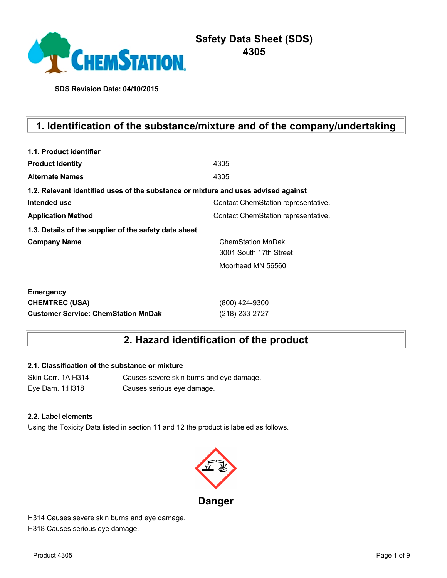

# **Safety Data Sheet (SDS) 4305**

**SDS Revision Date: 04/10/2015**

# **1. Identification of the substance/mixture and of the company/undertaking**

| 1.1. Product identifier                                                            |                                     |
|------------------------------------------------------------------------------------|-------------------------------------|
| <b>Product Identity</b>                                                            | 4305                                |
| <b>Alternate Names</b>                                                             | 4305                                |
| 1.2. Relevant identified uses of the substance or mixture and uses advised against |                                     |
| Intended use                                                                       | Contact ChemStation representative. |
| <b>Application Method</b>                                                          | Contact ChemStation representative. |
| 1.3. Details of the supplier of the safety data sheet                              |                                     |
| <b>Company Name</b>                                                                | <b>ChemStation MnDak</b>            |
|                                                                                    | 3001 South 17th Street              |
|                                                                                    | Moorhead MN 56560                   |
| <b>Emergency</b>                                                                   |                                     |
| <b>CHEMTREC (USA)</b>                                                              | (800) 424-9300                      |
| <b>Customer Service: ChemStation MnDak</b>                                         | (218) 233-2727                      |

# **2. Hazard identification of the product**

## **2.1. Classification of the substance or mixture**

Skin Corr. 1A;H314 Causes severe skin burns and eye damage. Eye Dam. 1;H318 Causes serious eye damage.

#### **2.2. Label elements**

Using the Toxicity Data listed in section 11 and 12 the product is labeled as follows.



H314 Causes severe skin burns and eye damage. H318 Causes serious eye damage.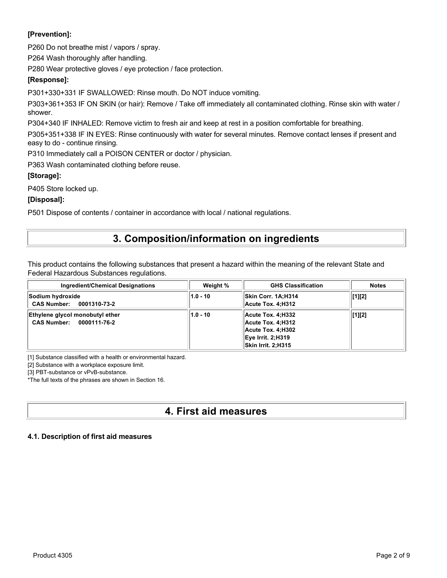## **[Prevention]:**

P260 Do not breathe mist / vapors / spray.

P264 Wash thoroughly after handling.

P280 Wear protective gloves / eye protection / face protection.

## **[Response]:**

P301+330+331 IF SWALLOWED: Rinse mouth. Do NOT induce vomiting.

P303+361+353 IF ON SKIN (or hair): Remove / Take off immediately all contaminated clothing. Rinse skin with water / shower.

P304+340 IF INHALED: Remove victim to fresh air and keep at rest in a position comfortable for breathing.

P305+351+338 IF IN EYES: Rinse continuously with water for several minutes. Remove contact lenses if present and easy to do - continue rinsing.

P310 Immediately call a POISON CENTER or doctor / physician.

P363 Wash contaminated clothing before reuse.

### **[Storage]:**

P405 Store locked up.

### **[Disposal]:**

P501 Dispose of contents / container in accordance with local / national regulations.

## **3. Composition/information on ingredients**

This product contains the following substances that present a hazard within the meaning of the relevant State and Federal Hazardous Substances regulations.

| <b>Ingredient/Chemical Designations</b>                     | Weight %   | <b>GHS Classification</b>                                                                                            | <b>Notes</b> |
|-------------------------------------------------------------|------------|----------------------------------------------------------------------------------------------------------------------|--------------|
| Sodium hydroxide<br>CAS Number: 0001310-73-2                | $1.0 - 10$ | Skin Corr. 1A:H314<br>Acute Tox. 4:H312                                                                              | [1][2]       |
| Ethylene glycol monobutyl ether<br>CAS Number: 0000111-76-2 | $1.0 - 10$ | Acute Tox. 4:H332<br>Acute Tox. 4:H312<br>Acute Tox. 4:H302<br><b>Eye Irrit. 2:H319</b><br><b>Skin Irrit. 2:H315</b> | [1][2]       |

[1] Substance classified with a health or environmental hazard.

[2] Substance with a workplace exposure limit.

[3] PBT-substance or vPvB-substance.

\*The full texts of the phrases are shown in Section 16.

# **4. First aid measures**

## **4.1. Description of first aid measures**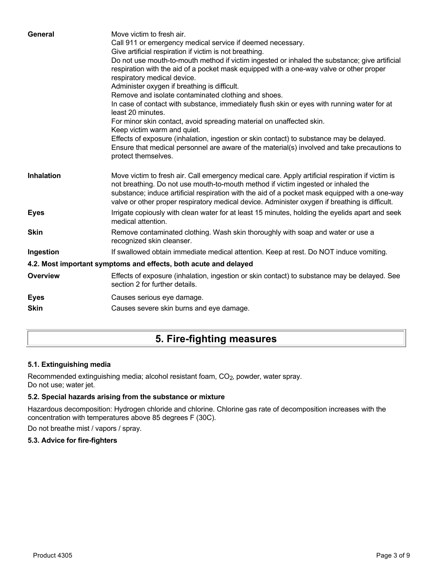| General           | Move victim to fresh air.<br>Call 911 or emergency medical service if deemed necessary.<br>Give artificial respiration if victim is not breathing.<br>Do not use mouth-to-mouth method if victim ingested or inhaled the substance; give artificial<br>respiration with the aid of a pocket mask equipped with a one-way valve or other proper<br>respiratory medical device.<br>Administer oxygen if breathing is difficult.<br>Remove and isolate contaminated clothing and shoes.<br>In case of contact with substance, immediately flush skin or eyes with running water for at<br>least 20 minutes.<br>For minor skin contact, avoid spreading material on unaffected skin.<br>Keep victim warm and quiet.<br>Effects of exposure (inhalation, ingestion or skin contact) to substance may be delayed.<br>Ensure that medical personnel are aware of the material(s) involved and take precautions to<br>protect themselves. |
|-------------------|-----------------------------------------------------------------------------------------------------------------------------------------------------------------------------------------------------------------------------------------------------------------------------------------------------------------------------------------------------------------------------------------------------------------------------------------------------------------------------------------------------------------------------------------------------------------------------------------------------------------------------------------------------------------------------------------------------------------------------------------------------------------------------------------------------------------------------------------------------------------------------------------------------------------------------------|
| <b>Inhalation</b> | Move victim to fresh air. Call emergency medical care. Apply artificial respiration if victim is<br>not breathing. Do not use mouth-to-mouth method if victim ingested or inhaled the<br>substance; induce artificial respiration with the aid of a pocket mask equipped with a one-way<br>valve or other proper respiratory medical device. Administer oxygen if breathing is difficult.                                                                                                                                                                                                                                                                                                                                                                                                                                                                                                                                         |
| <b>Eyes</b>       | Irrigate copiously with clean water for at least 15 minutes, holding the eyelids apart and seek<br>medical attention.                                                                                                                                                                                                                                                                                                                                                                                                                                                                                                                                                                                                                                                                                                                                                                                                             |
| <b>Skin</b>       | Remove contaminated clothing. Wash skin thoroughly with soap and water or use a<br>recognized skin cleanser.                                                                                                                                                                                                                                                                                                                                                                                                                                                                                                                                                                                                                                                                                                                                                                                                                      |
| Ingestion         | If swallowed obtain immediate medical attention. Keep at rest. Do NOT induce vomiting.                                                                                                                                                                                                                                                                                                                                                                                                                                                                                                                                                                                                                                                                                                                                                                                                                                            |
|                   | 4.2. Most important symptoms and effects, both acute and delayed                                                                                                                                                                                                                                                                                                                                                                                                                                                                                                                                                                                                                                                                                                                                                                                                                                                                  |
| <b>Overview</b>   | Effects of exposure (inhalation, ingestion or skin contact) to substance may be delayed. See<br>section 2 for further details.                                                                                                                                                                                                                                                                                                                                                                                                                                                                                                                                                                                                                                                                                                                                                                                                    |
| <b>Eyes</b>       | Causes serious eye damage.                                                                                                                                                                                                                                                                                                                                                                                                                                                                                                                                                                                                                                                                                                                                                                                                                                                                                                        |
| <b>Skin</b>       | Causes severe skin burns and eye damage.                                                                                                                                                                                                                                                                                                                                                                                                                                                                                                                                                                                                                                                                                                                                                                                                                                                                                          |
|                   |                                                                                                                                                                                                                                                                                                                                                                                                                                                                                                                                                                                                                                                                                                                                                                                                                                                                                                                                   |

# **5. Fire-fighting measures**

## **5.1. Extinguishing media**

Recommended extinguishing media; alcohol resistant foam, CO<sub>2</sub>, powder, water spray. Do not use; water jet.

## **5.2. Special hazards arising from the substance or mixture**

Hazardous decomposition: Hydrogen chloride and chlorine. Chlorine gas rate of decomposition increases with the concentration with temperatures above 85 degrees F (30C).

Do not breathe mist / vapors / spray.

## **5.3. Advice for fire-fighters**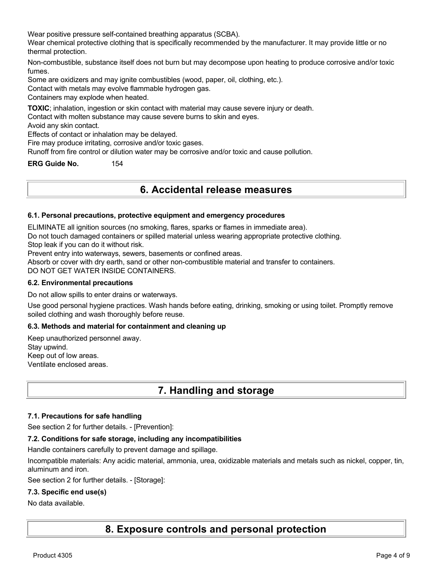Wear positive pressure self-contained breathing apparatus (SCBA).

Wear chemical protective clothing that is specifically recommended by the manufacturer. It may provide little or no thermal protection.

Non-combustible, substance itself does not burn but may decompose upon heating to produce corrosive and/or toxic fumes.

Some are oxidizers and may ignite combustibles (wood, paper, oil, clothing, etc.).

Contact with metals may evolve flammable hydrogen gas.

Containers may explode when heated.

**TOXIC**; inhalation, ingestion or skin contact with material may cause severe injury or death.

Contact with molten substance may cause severe burns to skin and eyes.

Avoid any skin contact.

Effects of contact or inhalation may be delayed.

Fire may produce irritating, corrosive and/or toxic gases.

Runoff from fire control or dilution water may be corrosive and/or toxic and cause pollution.

**ERG Guide No.** 154

## **6. Accidental release measures**

#### **6.1. Personal precautions, protective equipment and emergency procedures**

ELIMINATE all ignition sources (no smoking, flares, sparks or flames in immediate area).

Do not touch damaged containers or spilled material unless wearing appropriate protective clothing.

Stop leak if you can do it without risk.

Prevent entry into waterways, sewers, basements or confined areas.

Absorb or cover with dry earth, sand or other non-combustible material and transfer to containers.

DO NOT GET WATER INSIDE CONTAINERS.

#### **6.2. Environmental precautions**

Do not allow spills to enter drains or waterways.

Use good personal hygiene practices. Wash hands before eating, drinking, smoking or using toilet. Promptly remove soiled clothing and wash thoroughly before reuse.

#### **6.3. Methods and material for containment and cleaning up**

Keep unauthorized personnel away. Stay upwind. Keep out of low areas. Ventilate enclosed areas.

## **7. Handling and storage**

#### **7.1. Precautions for safe handling**

See section 2 for further details. - [Prevention]:

#### **7.2. Conditions for safe storage, including any incompatibilities**

Handle containers carefully to prevent damage and spillage.

Incompatible materials: Any acidic material, ammonia, urea, oxidizable materials and metals such as nickel, copper, tin, aluminum and iron.

See section 2 for further details. - [Storage]:

#### **7.3. Specific end use(s)**

#### No data available.

**8. Exposure controls and personal protection**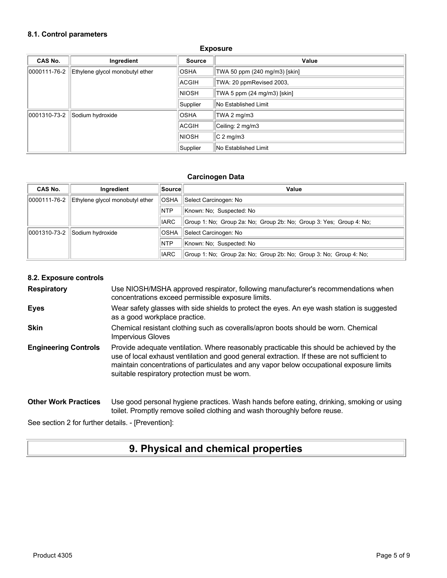#### **8.1. Control parameters**

| CAS No.      | Ingredient                      | <b>Source</b> | Value                         |
|--------------|---------------------------------|---------------|-------------------------------|
| 0000111-76-2 | Ethylene glycol monobutyl ether | <b>OSHA</b>   | TWA 50 ppm (240 mg/m3) [skin] |
|              |                                 | ACGIH         | TWA: 20 ppmRevised 2003,      |
|              |                                 | <b>NIOSH</b>  | TWA 5 ppm (24 mg/m3) [skin]   |
|              |                                 | Supplier      | No Established Limit          |
| 0001310-73-2 | Sodium hydroxide                | <b>OSHA</b>   | TWA 2 mg/m3                   |
|              |                                 | <b>ACGIH</b>  | Ceiling: 2 mg/m3              |
|              |                                 | <b>NIOSH</b>  | $C2$ mg/m3                    |
|              |                                 | Supplier      | No Established Limit          |

#### **Exposure**

#### **Carcinogen Data**

| CAS No.      | Ingredient                      | ∣Source∣    | Value                                                               |
|--------------|---------------------------------|-------------|---------------------------------------------------------------------|
| 0000111-76-2 | Ethylene givcol monobutyl ether | <b>OSHA</b> | Select Carcinogen: No                                               |
|              |                                 | <b>NTP</b>  | Known: No: Suspected: No                                            |
|              |                                 | <b>IARC</b> | Group 1: No; Group 2a: No; Group 2b: No; Group 3: Yes; Group 4: No; |
| 0001310-73-2 | Sodium hydroxide                | <b>OSHA</b> | Select Carcinogen: No                                               |
|              |                                 | <b>NTP</b>  | Known: No: Suspected: No                                            |
|              |                                 | <b>IARC</b> | Group 1: No; Group 2a: No; Group 2b: No; Group 3: No; Group 4: No;  |

#### **8.2. Exposure controls**

**Respiratory** Use NIOSH/MSHA approved respirator, following manufacturer's recommendations when concentrations exceed permissible exposure limits.

- **Eyes** Wear safety glasses with side shields to protect the eyes. An eye wash station is suggested as a good workplace practice.
- **Skin** Chemical resistant clothing such as coveralls/apron boots should be worn. Chemical Impervious Gloves
- **Engineering Controls** Provide adequate ventilation. Where reasonably practicable this should be achieved by the use of local exhaust ventilation and good general extraction. If these are not sufficient to maintain concentrations of particulates and any vapor below occupational exposure limits suitable respiratory protection must be worn.

#### **Other Work Practices** Use good personal hygiene practices. Wash hands before eating, drinking, smoking or using toilet. Promptly remove soiled clothing and wash thoroughly before reuse.

See section 2 for further details. - [Prevention]:

## **9. Physical and chemical properties**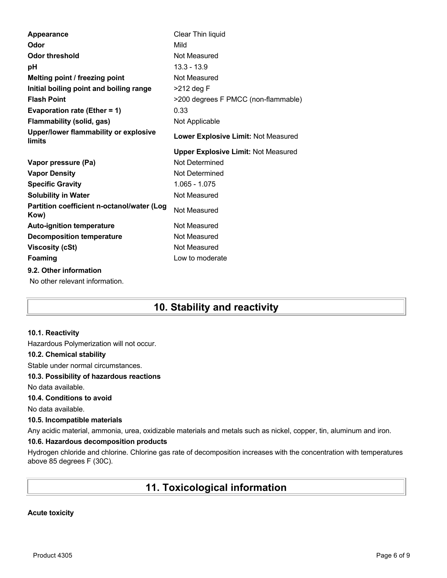| Appearance                                         | Clear Thin liquid                          |
|----------------------------------------------------|--------------------------------------------|
| Odor                                               | Mild                                       |
| <b>Odor threshold</b>                              | Not Measured                               |
| рH                                                 | $13.3 - 13.9$                              |
| Melting point / freezing point                     | Not Measured                               |
| Initial boiling point and boiling range            | $>212$ deg F                               |
| <b>Flash Point</b>                                 | >200 degrees F PMCC (non-flammable)        |
| Evaporation rate (Ether = 1)                       | 0.33                                       |
| <b>Flammability (solid, gas)</b>                   | Not Applicable                             |
| Upper/lower flammability or explosive<br>limits    | Lower Explosive Limit: Not Measured        |
|                                                    | <b>Upper Explosive Limit: Not Measured</b> |
|                                                    |                                            |
| Vapor pressure (Pa)                                | Not Determined                             |
| <b>Vapor Density</b>                               | Not Determined                             |
| <b>Specific Gravity</b>                            | $1.065 - 1.075$                            |
| <b>Solubility in Water</b>                         | Not Measured                               |
| Partition coefficient n-octanol/water (Log<br>Kow) | Not Measured                               |
| <b>Auto-ignition temperature</b>                   | Not Measured                               |
| <b>Decomposition temperature</b>                   | Not Measured                               |
| <b>Viscosity (cSt)</b>                             | Not Measured                               |
| Foaming                                            | Low to moderate                            |
| 9.2. Other information                             |                                            |

# **10. Stability and reactivity**

#### **10.1. Reactivity**

Hazardous Polymerization will not occur.

#### **10.2. Chemical stability**

Stable under normal circumstances.

#### **10.3. Possibility of hazardous reactions**

No data available.

### **10.4. Conditions to avoid**

No data available.

#### **10.5. Incompatible materials**

Any acidic material, ammonia, urea, oxidizable materials and metals such as nickel, copper, tin, aluminum and iron.

### **10.6. Hazardous decomposition products**

Hydrogen chloride and chlorine. Chlorine gas rate of decomposition increases with the concentration with temperatures above 85 degrees F (30C).

# **11. Toxicological information**

#### **Acute toxicity**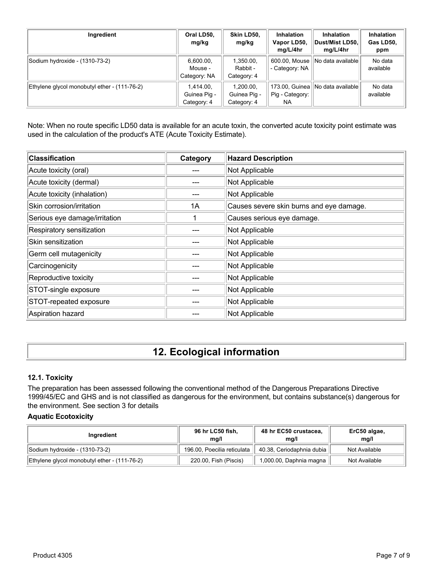| Ingredient                                   | Oral LD50,<br>mg/kg                      | Skin LD50,<br>mg/kg                      | <b>Inhalation</b><br>Vapor LD50,<br>mg/L/4hr | <b>Inhalation</b><br>Dust/Mist LD50,<br>mg/L/4hr | Inhalation<br>Gas LD50,<br>ppm |
|----------------------------------------------|------------------------------------------|------------------------------------------|----------------------------------------------|--------------------------------------------------|--------------------------------|
| Sodium hydroxide - (1310-73-2)               | 6,600.00,<br>Mouse -<br>Category: NA     | 1,350.00,<br>Rabbit -<br>Category: 4     | 600.00, Mouse<br>- Category: NA              | No data available                                | No data<br>available           |
| Ethylene glycol monobutyl ether - (111-76-2) | 1.414.00.<br>Guinea Pig -<br>Category: 4 | 1.200.00.<br>Guinea Pig -<br>Category: 4 | 173.00, Guinea<br>Pig - Category:<br>NA.     | INo data availablel                              | No data<br>available           |

Note: When no route specific LD50 data is available for an acute toxin, the converted acute toxicity point estimate was used in the calculation of the product's ATE (Acute Toxicity Estimate).

| <b>Classification</b>         | Category | <b>Hazard Description</b>                |
|-------------------------------|----------|------------------------------------------|
| Acute toxicity (oral)         |          | Not Applicable                           |
| Acute toxicity (dermal)       |          | Not Applicable                           |
| Acute toxicity (inhalation)   |          | Not Applicable                           |
| Skin corrosion/irritation     | 1A       | Causes severe skin burns and eye damage. |
| Serious eye damage/irritation |          | Causes serious eye damage.               |
| Respiratory sensitization     |          | Not Applicable                           |
| Skin sensitization            |          | Not Applicable                           |
| Germ cell mutagenicity        |          | Not Applicable                           |
| Carcinogenicity               |          | Not Applicable                           |
| Reproductive toxicity         |          | Not Applicable                           |
| STOT-single exposure          |          | Not Applicable                           |
| STOT-repeated exposure        |          | Not Applicable                           |
| Aspiration hazard             |          | Not Applicable                           |

# **12. Ecological information**

### **12.1. Toxicity**

The preparation has been assessed following the conventional method of the Dangerous Preparations Directive 1999/45/EC and GHS and is not classified as dangerous for the environment, but contains substance(s) dangerous for the environment. See section 3 for details

#### **Aquatic Ecotoxicity**

| Ingredient                                   | 96 hr LC50 fish,<br>ma/l    | 48 hr EC50 crustacea,<br>ma/l | ErC50 algae,<br>mq/l |
|----------------------------------------------|-----------------------------|-------------------------------|----------------------|
| Sodium hydroxide - (1310-73-2)               | 196.00, Poecilia reticulata | 40.38, Ceriodaphnia dubia     | Not Available        |
| Ethylene glycol monobutyl ether - (111-76-2) | 220.00, Fish (Piscis)       | 1,000.00, Daphnia magna       | Not Available        |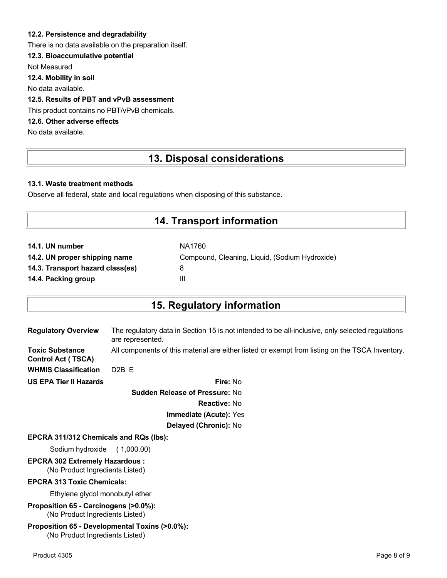### **12.2. Persistence and degradability**

There is no data available on the preparation itself.

## **12.3. Bioaccumulative potential**

Not Measured

**12.4. Mobility in soil**

No data available.

## **12.5. Results of PBT and vPvB assessment**

This product contains no PBT/vPvB chemicals.

## **12.6. Other adverse effects**

No data available.

## **13. Disposal considerations**

### **13.1. Waste treatment methods**

Observe all federal, state and local regulations when disposing of this substance.

## **14. Transport information**

| NA1760                                         |
|------------------------------------------------|
| Compound, Cleaning, Liquid, (Sodium Hydroxide) |
| 8                                              |
| Ш                                              |
|                                                |

## **15. Regulatory information**

| <b>Regulatory Overview</b>                          | The regulatory data in Section 15 is not intended to be all-inclusive, only selected regulations<br>are represented. |
|-----------------------------------------------------|----------------------------------------------------------------------------------------------------------------------|
| <b>Toxic Substance</b><br><b>Control Act (TSCA)</b> | All components of this material are either listed or exempt from listing on the TSCA Inventory.                      |
| <b>WHMIS Classification</b>                         | $D2B$ F                                                                                                              |
| <b>US EPA Tier II Hazards</b>                       | Fire: No                                                                                                             |
|                                                     |                                                                                                                      |

**Sudden Release of Pressure:** No **Reactive:** No **Immediate (Acute):** Yes **Delayed (Chronic):** No

#### **EPCRA 311/312 Chemicals and RQs (lbs):**

Sodium hydroxide ( 1,000.00)

# **EPCRA 302 Extremely Hazardous :**

(No Product Ingredients Listed)

#### **EPCRA 313 Toxic Chemicals:**

Ethylene glycol monobutyl ether

**Proposition 65 - Carcinogens (>0.0%):** (No Product Ingredients Listed)

#### **Proposition 65 - Developmental Toxins (>0.0%):** (No Product Ingredients Listed)